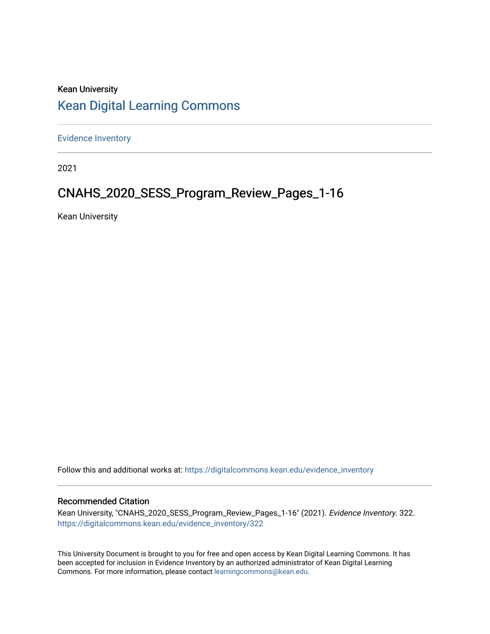# Kean University [Kean Digital Learning Commons](https://digitalcommons.kean.edu/)

[Evidence Inventory](https://digitalcommons.kean.edu/evidence_inventory) 

2021

# CNAHS\_2020\_SESS\_Program\_Review\_Pages\_1-16

Kean University

Follow this and additional works at: [https://digitalcommons.kean.edu/evidence\\_inventory](https://digitalcommons.kean.edu/evidence_inventory?utm_source=digitalcommons.kean.edu%2Fevidence_inventory%2F322&utm_medium=PDF&utm_campaign=PDFCoverPages)

#### Recommended Citation

Kean University, "CNAHS\_2020\_SESS\_Program\_Review\_Pages\_1-16" (2021). Evidence Inventory. 322. [https://digitalcommons.kean.edu/evidence\\_inventory/322](https://digitalcommons.kean.edu/evidence_inventory/322?utm_source=digitalcommons.kean.edu%2Fevidence_inventory%2F322&utm_medium=PDF&utm_campaign=PDFCoverPages)

This University Document is brought to you for free and open access by Kean Digital Learning Commons. It has been accepted for inclusion in Evidence Inventory by an authorized administrator of Kean Digital Learning Commons. For more information, please contact [learningcommons@kean.edu.](mailto:learningcommons@kean.edu)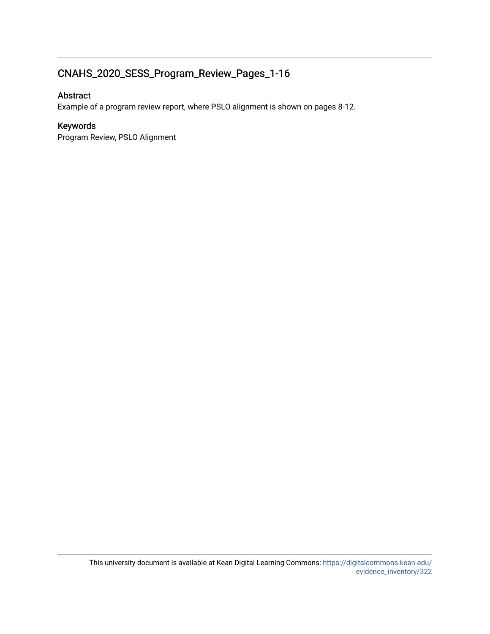## CNAHS\_2020\_SESS\_Program\_Review\_Pages\_1-16

## Abstract

Example of a program review report, where PSLO alignment is shown on pages 8-12.

#### Keywords

Program Review, PSLO Alignment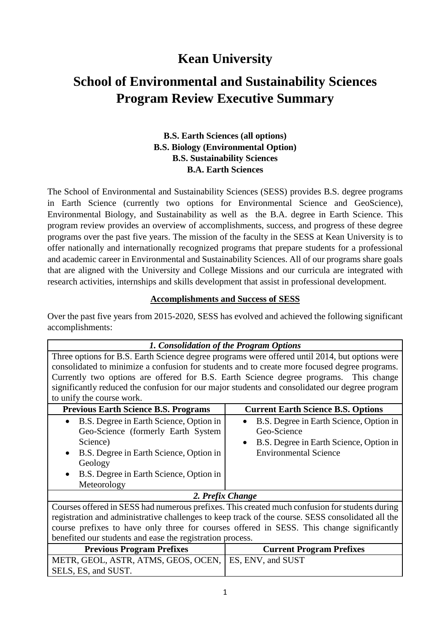# **Kean University**

# **School of Environmental and Sustainability Sciences Program Review Executive Summary**

## **B.S. Earth Sciences (all options) B.S. Biology (Environmental Option) B.S. Sustainability Sciences B.A. Earth Sciences**

The School of Environmental and Sustainability Sciences (SESS) provides B.S. degree programs in Earth Science (currently two options for Environmental Science and GeoScience), Environmental Biology, and Sustainability as well as the B.A. degree in Earth Science. This program review provides an overview of accomplishments, success, and progress of these degree programs over the past five years. The mission of the faculty in the SESS at Kean University is to offer nationally and internationally recognized programs that prepare students for a professional and academic career in Environmental and Sustainability Sciences. All of our programs share goals that are aligned with the University and College Missions and our curricula are integrated with research activities, internships and skills development that assist in professional development.

#### **Accomplishments and Success of SESS**

Over the past five years from 2015-2020, SESS has evolved and achieved the following significant accomplishments:

| 1. Consolidation of the Program Options                                                           |                                                                                                |  |  |  |  |
|---------------------------------------------------------------------------------------------------|------------------------------------------------------------------------------------------------|--|--|--|--|
|                                                                                                   | Three options for B.S. Earth Science degree programs were offered until 2014, but options were |  |  |  |  |
|                                                                                                   | consolidated to minimize a confusion for students and to create more focused degree programs.  |  |  |  |  |
|                                                                                                   | Currently two options are offered for B.S. Earth Science degree programs. This change          |  |  |  |  |
|                                                                                                   | significantly reduced the confusion for our major students and consolidated our degree program |  |  |  |  |
| to unify the course work.                                                                         |                                                                                                |  |  |  |  |
| <b>Previous Earth Science B.S. Programs</b>                                                       | <b>Current Earth Science B.S. Options</b>                                                      |  |  |  |  |
| B.S. Degree in Earth Science, Option in<br>$\bullet$                                              | B.S. Degree in Earth Science, Option in<br>$\bullet$                                           |  |  |  |  |
| Geo-Science (formerly Earth System                                                                | Geo-Science                                                                                    |  |  |  |  |
| Science)                                                                                          | B.S. Degree in Earth Science, Option in<br>$\bullet$                                           |  |  |  |  |
| B.S. Degree in Earth Science, Option in                                                           | <b>Environmental Science</b>                                                                   |  |  |  |  |
| Geology                                                                                           |                                                                                                |  |  |  |  |
| B.S. Degree in Earth Science, Option in                                                           |                                                                                                |  |  |  |  |
| Meteorology                                                                                       |                                                                                                |  |  |  |  |
| 2. Prefix Change                                                                                  |                                                                                                |  |  |  |  |
| Courses offered in SESS had numerous prefixes. This created much confusion for students during    |                                                                                                |  |  |  |  |
| registration and administrative challenges to keep track of the course. SESS consolidated all the |                                                                                                |  |  |  |  |
| course prefixes to have only three for courses offered in SESS. This change significantly         |                                                                                                |  |  |  |  |
| benefited our students and ease the registration process.                                         |                                                                                                |  |  |  |  |
| <b>Previous Program Prefixes</b>                                                                  | <b>Current Program Prefixes</b>                                                                |  |  |  |  |
| METR, GEOL, ASTR, ATMS, GEOS, OCEN,                                                               | ES, ENV, and SUST                                                                              |  |  |  |  |
| SELS, ES, and SUST.                                                                               |                                                                                                |  |  |  |  |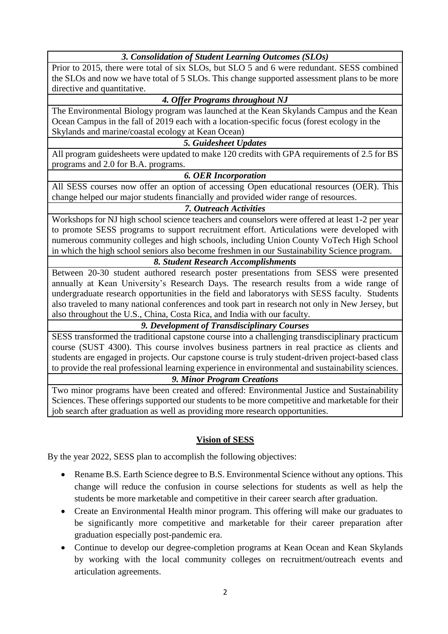*3. Consolidation of Student Learning Outcomes (SLOs)*

Prior to 2015, there were total of six SLOs, but SLO 5 and 6 were redundant. SESS combined the SLOs and now we have total of 5 SLOs. This change supported assessment plans to be more directive and quantitative.

## *4. Offer Programs throughout NJ*

The Environmental Biology program was launched at the Kean Skylands Campus and the Kean Ocean Campus in the fall of 2019 each with a location-specific focus (forest ecology in the Skylands and marine/coastal ecology at Kean Ocean)

#### *5. Guidesheet Updates*

All program guidesheets were updated to make 120 credits with GPA requirements of 2.5 for BS programs and 2.0 for B.A. programs.

#### *6. OER Incorporation*

All SESS courses now offer an option of accessing Open educational resources (OER). This change helped our major students financially and provided wider range of resources.

#### *7. Outreach Activities*

Workshops for NJ high school science teachers and counselors were offered at least 1-2 per year to promote SESS programs to support recruitment effort. Articulations were developed with numerous community colleges and high schools, including Union County VoTech High School in which the high school seniors also become freshmen in our Sustainability Science program.

## *8. Student Research Accomplishments*

Between 20-30 student authored research poster presentations from SESS were presented annually at Kean University's Research Days. The research results from a wide range of undergraduate research opportunities in the field and laboratorys with SESS faculty. Students also traveled to many national conferences and took part in research not only in New Jersey, but also throughout the U.S., China, Costa Rica, and India with our faculty.

## *9. Development of Transdisciplinary Courses*

SESS transformed the traditional capstone course into a challenging transdisciplinary practicum course (SUST 4300). This course involves business partners in real practice as clients and students are engaged in projects. Our capstone course is truly student-driven project-based class to provide the real professional learning experience in environmental and sustainability sciences.

#### *9. Minor Program Creations*

Two minor programs have been created and offered: Environmental Justice and Sustainability Sciences. These offerings supported our students to be more competitive and marketable for their job search after graduation as well as providing more research opportunities.

## **Vision of SESS**

By the year 2022, SESS plan to accomplish the following objectives:

- Rename B.S. Earth Science degree to B.S. Environmental Science without any options. This change will reduce the confusion in course selections for students as well as help the students be more marketable and competitive in their career search after graduation.
- Create an Environmental Health minor program. This offering will make our graduates to be significantly more competitive and marketable for their career preparation after graduation especially post-pandemic era.
- Continue to develop our degree-completion programs at Kean Ocean and Kean Skylands by working with the local community colleges on recruitment/outreach events and articulation agreements.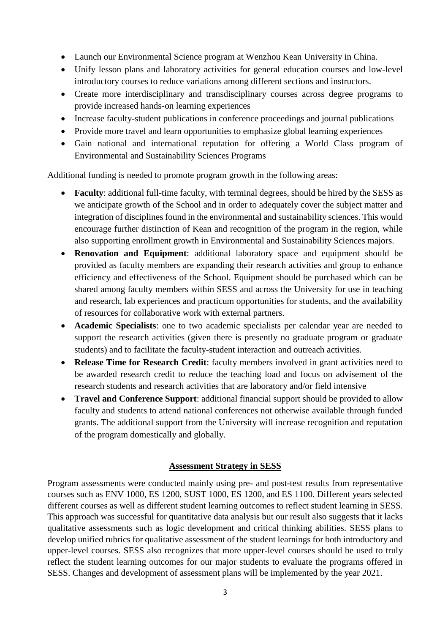- Launch our Environmental Science program at Wenzhou Kean University in China.
- Unify lesson plans and laboratory activities for general education courses and low-level introductory courses to reduce variations among different sections and instructors.
- Create more interdisciplinary and transdisciplinary courses across degree programs to provide increased hands-on learning experiences
- Increase faculty-student publications in conference proceedings and journal publications
- Provide more travel and learn opportunities to emphasize global learning experiences
- Gain national and international reputation for offering a World Class program of Environmental and Sustainability Sciences Programs

Additional funding is needed to promote program growth in the following areas:

- **Faculty**: additional full-time faculty, with terminal degrees, should be hired by the SESS as we anticipate growth of the School and in order to adequately cover the subject matter and integration of disciplines found in the environmental and sustainability sciences. This would encourage further distinction of Kean and recognition of the program in the region, while also supporting enrollment growth in Environmental and Sustainability Sciences majors.
- **Renovation and Equipment**: additional laboratory space and equipment should be provided as faculty members are expanding their research activities and group to enhance efficiency and effectiveness of the School. Equipment should be purchased which can be shared among faculty members within SESS and across the University for use in teaching and research, lab experiences and practicum opportunities for students, and the availability of resources for collaborative work with external partners.
- **Academic Specialists**: one to two academic specialists per calendar year are needed to support the research activities (given there is presently no graduate program or graduate students) and to facilitate the faculty-student interaction and outreach activities.
- **Release Time for Research Credit**: faculty members involved in grant activities need to be awarded research credit to reduce the teaching load and focus on advisement of the research students and research activities that are laboratory and/or field intensive
- **Travel and Conference Support**: additional financial support should be provided to allow faculty and students to attend national conferences not otherwise available through funded grants. The additional support from the University will increase recognition and reputation of the program domestically and globally.

#### **Assessment Strategy in SESS**

Program assessments were conducted mainly using pre- and post-test results from representative courses such as ENV 1000, ES 1200, SUST 1000, ES 1200, and ES 1100. Different years selected different courses as well as different student learning outcomes to reflect student learning in SESS. This approach was successful for quantitative data analysis but our result also suggests that it lacks qualitative assessments such as logic development and critical thinking abilities. SESS plans to develop unified rubrics for qualitative assessment of the student learnings for both introductory and upper-level courses. SESS also recognizes that more upper-level courses should be used to truly reflect the student learning outcomes for our major students to evaluate the programs offered in SESS. Changes and development of assessment plans will be implemented by the year 2021.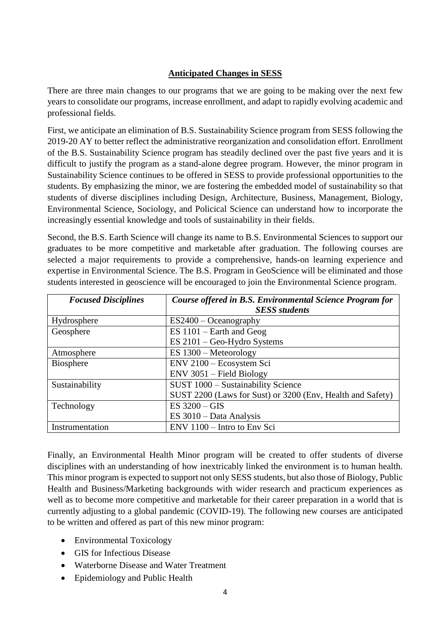## **Anticipated Changes in SESS**

There are three main changes to our programs that we are going to be making over the next few years to consolidate our programs, increase enrollment, and adapt to rapidly evolving academic and professional fields.

First, we anticipate an elimination of B.S. Sustainability Science program from SESS following the 2019-20 AY to better reflect the administrative reorganization and consolidation effort. Enrollment of the B.S. Sustainability Science program has steadily declined over the past five years and it is difficult to justify the program as a stand-alone degree program. However, the minor program in Sustainability Science continues to be offered in SESS to provide professional opportunities to the students. By emphasizing the minor, we are fostering the embedded model of sustainability so that students of diverse disciplines including Design, Architecture, Business, Management, Biology, Environmental Science, Sociology, and Policical Science can understand how to incorporate the increasingly essential knowledge and tools of sustainability in their fields.

Second, the B.S. Earth Science will change its name to B.S. Environmental Sciences to support our graduates to be more competitive and marketable after graduation. The following courses are selected a major requirements to provide a comprehensive, hands-on learning experience and expertise in Environmental Science. The B.S. Program in GeoScience will be eliminated and those students interested in geoscience will be encouraged to join the Environmental Science program.

| <b>Focused Disciplines</b> | Course offered in B.S. Environmental Science Program for<br><b>SESS</b> students |  |  |
|----------------------------|----------------------------------------------------------------------------------|--|--|
| Hydrosphere                | $ES2400 - Oceanography$                                                          |  |  |
| Geosphere                  | $ES 1101 - Earth$ and Geog                                                       |  |  |
|                            | $ES 2101 - Geo-Hydro Systems$                                                    |  |  |
| Atmosphere                 | $ES 1300 - Meteorology$                                                          |  |  |
| <b>Biosphere</b>           | ENV 2100 - Ecosystem Sci                                                         |  |  |
|                            | $ENV$ 3051 – Field Biology                                                       |  |  |
| Sustainability             | SUST 1000 - Sustainability Science                                               |  |  |
|                            | SUST 2200 (Laws for Sust) or 3200 (Env, Health and Safety)                       |  |  |
| Technology                 | ES $3200 - GIS$                                                                  |  |  |
|                            | $ES 3010 - Data Analysis$                                                        |  |  |
| Instrumentation            | ENV 1100 - Intro to Env Sci                                                      |  |  |

Finally, an Environmental Health Minor program will be created to offer students of diverse disciplines with an understanding of how inextricably linked the environment is to human health. This minor program is expected to support not only SESS students, but also those of Biology, Public Health and Business/Marketing backgrounds with wider research and practicum experiences as well as to become more competitive and marketable for their career preparation in a world that is currently adjusting to a global pandemic (COVID-19). The following new courses are anticipated to be written and offered as part of this new minor program:

- Environmental Toxicology
- GIS for Infectious Disease
- Waterborne Disease and Water Treatment
- Epidemiology and Public Health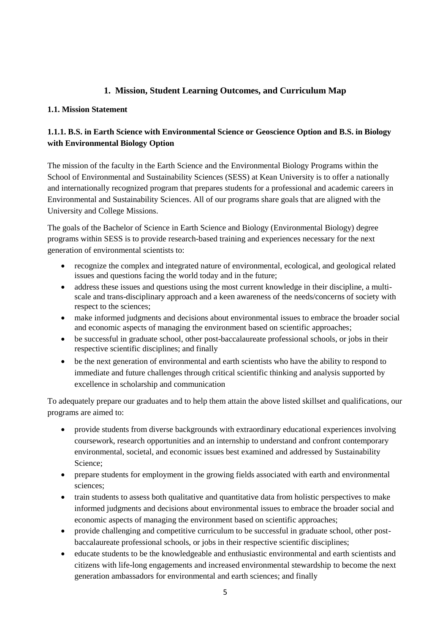## **1. Mission, Student Learning Outcomes, and Curriculum Map**

#### **1.1. Mission Statement**

## **1.1.1. B.S. in Earth Science with Environmental Science or Geoscience Option and B.S. in Biology with Environmental Biology Option**

The mission of the faculty in the Earth Science and the Environmental Biology Programs within the School of Environmental and Sustainability Sciences (SESS) at Kean University is to offer a nationally and internationally recognized program that prepares students for a professional and academic careers in Environmental and Sustainability Sciences. All of our programs share goals that are aligned with the University and College Missions.

The goals of the Bachelor of Science in Earth Science and Biology (Environmental Biology) degree programs within SESS is to provide research-based training and experiences necessary for the next generation of environmental scientists to:

- recognize the complex and integrated nature of environmental, ecological, and geological related issues and questions facing the world today and in the future;
- address these issues and questions using the most current knowledge in their discipline, a multiscale and trans-disciplinary approach and a keen awareness of the needs/concerns of society with respect to the sciences;
- make informed judgments and decisions about environmental issues to embrace the broader social and economic aspects of managing the environment based on scientific approaches;
- be successful in graduate school, other post-baccalaureate professional schools, or jobs in their respective scientific disciplines; and finally
- be the next generation of environmental and earth scientists who have the ability to respond to immediate and future challenges through critical scientific thinking and analysis supported by excellence in scholarship and communication

To adequately prepare our graduates and to help them attain the above listed skillset and qualifications, our programs are aimed to:

- provide students from diverse backgrounds with extraordinary educational experiences involving coursework, research opportunities and an internship to understand and confront contemporary environmental, societal, and economic issues best examined and addressed by Sustainability Science;
- prepare students for employment in the growing fields associated with earth and environmental sciences;
- train students to assess both qualitative and quantitative data from holistic perspectives to make informed judgments and decisions about environmental issues to embrace the broader social and economic aspects of managing the environment based on scientific approaches;
- provide challenging and competitive curriculum to be successful in graduate school, other postbaccalaureate professional schools, or jobs in their respective scientific disciplines;
- educate students to be the knowledgeable and enthusiastic environmental and earth scientists and citizens with life-long engagements and increased environmental stewardship to become the next generation ambassadors for environmental and earth sciences; and finally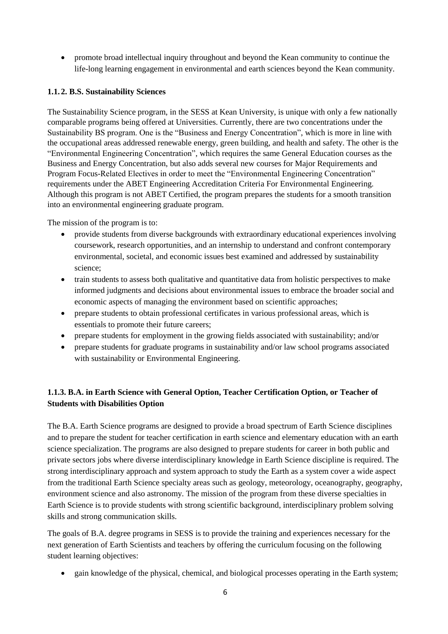promote broad intellectual inquiry throughout and beyond the Kean community to continue the life-long learning engagement in environmental and earth sciences beyond the Kean community.

## **1.1. 2. B.S. Sustainability Sciences**

The Sustainability Science program, in the SESS at Kean University, is unique with only a few nationally comparable programs being offered at Universities. Currently, there are two concentrations under the Sustainability BS program. One is the "Business and Energy Concentration", which is more in line with the occupational areas addressed renewable energy, green building, and health and safety. The other is the "Environmental Engineering Concentration", which requires the same General Education courses as the Business and Energy Concentration, but also adds several new courses for Major Requirements and Program Focus-Related Electives in order to meet the "Environmental Engineering Concentration" requirements under the ABET Engineering Accreditation Criteria For Environmental Engineering. Although this program is not ABET Certified, the program prepares the students for a smooth transition into an environmental engineering graduate program.

The mission of the program is to:

- provide students from diverse backgrounds with extraordinary educational experiences involving coursework, research opportunities, and an internship to understand and confront contemporary environmental, societal, and economic issues best examined and addressed by sustainability science;
- train students to assess both qualitative and quantitative data from holistic perspectives to make informed judgments and decisions about environmental issues to embrace the broader social and economic aspects of managing the environment based on scientific approaches;
- prepare students to obtain professional certificates in various professional areas, which is essentials to promote their future careers;
- prepare students for employment in the growing fields associated with sustainability; and/or
- prepare students for graduate programs in sustainability and/or law school programs associated with sustainability or Environmental Engineering.

## **1.1.3. B.A. in Earth Science with General Option, Teacher Certification Option, or Teacher of Students with Disabilities Option**

The B.A. Earth Science programs are designed to provide a broad spectrum of Earth Science disciplines and to prepare the student for teacher certification in earth science and elementary education with an earth science specialization. The programs are also designed to prepare students for career in both public and private sectors jobs where diverse interdisciplinary knowledge in Earth Science discipline is required. The strong interdisciplinary approach and system approach to study the Earth as a system cover a wide aspect from the traditional Earth Science specialty areas such as geology, meteorology, oceanography, geography, environment science and also astronomy. The mission of the program from these diverse specialties in Earth Science is to provide students with strong scientific background, interdisciplinary problem solving skills and strong communication skills.

The goals of B.A. degree programs in SESS is to provide the training and experiences necessary for the next generation of Earth Scientists and teachers by offering the curriculum focusing on the following student learning objectives:

gain knowledge of the physical, chemical, and biological processes operating in the Earth system;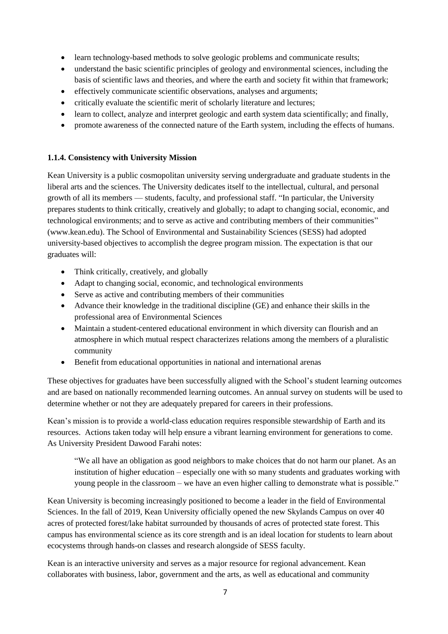- learn technology-based methods to solve geologic problems and communicate results;
- understand the basic scientific principles of geology and environmental sciences, including the basis of scientific laws and theories, and where the earth and society fit within that framework;
- effectively communicate scientific observations, analyses and arguments;
- critically evaluate the scientific merit of scholarly literature and lectures;
- learn to collect, analyze and interpret geologic and earth system data scientifically; and finally,
- promote awareness of the connected nature of the Earth system, including the effects of humans.

#### **1.1.4. Consistency with University Mission**

Kean University is a public cosmopolitan university serving undergraduate and graduate students in the liberal arts and the sciences. The University dedicates itself to the intellectual, cultural, and personal growth of all its members — students, faculty, and professional staff. "In particular, the University prepares students to think critically, creatively and globally; to adapt to changing social, economic, and technological environments; and to serve as active and contributing members of their communities" (www.kean.edu). The School of Environmental and Sustainability Sciences (SESS) had adopted university-based objectives to accomplish the degree program mission. The expectation is that our graduates will:

- Think critically, creatively, and globally
- Adapt to changing social, economic, and technological environments
- Serve as active and contributing members of their communities
- Advance their knowledge in the traditional discipline (GE) and enhance their skills in the professional area of Environmental Sciences
- Maintain a student-centered educational environment in which diversity can flourish and an atmosphere in which mutual respect characterizes relations among the members of a pluralistic community
- Benefit from educational opportunities in national and international arenas

These objectives for graduates have been successfully aligned with the School's student learning outcomes and are based on nationally recommended learning outcomes. An annual survey on students will be used to determine whether or not they are adequately prepared for careers in their professions.

Kean's mission is to provide a world-class education requires responsible stewardship of Earth and its resources. Actions taken today will help ensure a vibrant learning environment for generations to come. As University President Dawood Farahi notes:

"We all have an obligation as good neighbors to make choices that do not harm our planet. As an institution of higher education – especially one with so many students and graduates working with young people in the classroom – we have an even higher calling to demonstrate what is possible."

Kean University is becoming increasingly positioned to become a leader in the field of Environmental Sciences. In the fall of 2019, Kean University officially opened the new Skylands Campus on over 40 acres of protected forest/lake habitat surrounded by thousands of acres of protected state forest. This campus has environmental science as its core strength and is an ideal location for students to learn about ecocystems through hands-on classes and research alongside of SESS faculty.

Kean is an interactive university and serves as a major resource for regional advancement. Kean collaborates with business, labor, government and the arts, as well as educational and community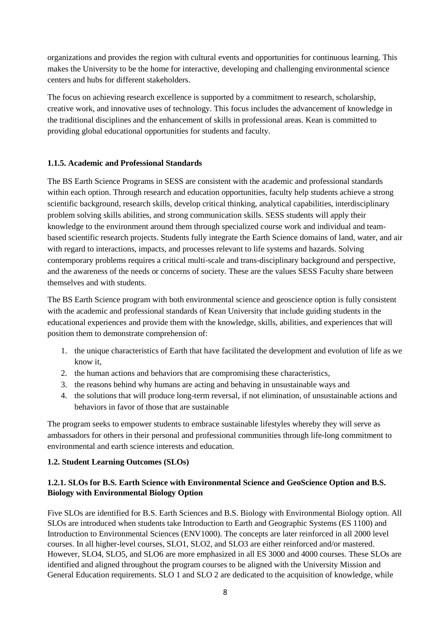organizations and provides the region with cultural events and opportunities for continuous learning. This makes the University to be the home for interactive, developing and challenging environmental science centers and hubs for different stakeholders.

The focus on achieving research excellence is supported by a commitment to research, scholarship, creative work, and innovative uses of technology. This focus includes the advancement of knowledge in the traditional disciplines and the enhancement of skills in professional areas. Kean is committed to providing global educational opportunities for students and faculty.

#### **1.1.5. Academic and Professional Standards**

The BS Earth Science Programs in SESS are consistent with the academic and professional standards within each option. Through research and education opportunities, faculty help students achieve a strong scientific background, research skills, develop critical thinking, analytical capabilities, interdisciplinary problem solving skills abilities, and strong communication skills. SESS students will apply their knowledge to the environment around them through specialized course work and individual and teambased scientific research projects. Students fully integrate the Earth Science domains of land, water, and air with regard to interactions, impacts, and processes relevant to life systems and hazards. Solving contemporary problems requires a critical multi-scale and trans-disciplinary background and perspective, and the awareness of the needs or concerns of society. These are the values SESS Faculty share between themselves and with students.

The BS Earth Science program with both environmental science and geoscience option is fully consistent with the academic and professional standards of Kean University that include guiding students in the educational experiences and provide them with the knowledge, skills, abilities, and experiences that will position them to demonstrate comprehension of:

- 1. the unique characteristics of Earth that have facilitated the development and evolution of life as we know it,
- 2. the human actions and behaviors that are compromising these characteristics,
- 3. the reasons behind why humans are acting and behaving in unsustainable ways and
- 4. the solutions that will produce long-term reversal, if not elimination, of unsustainable actions and behaviors in favor of those that are sustainable

The program seeks to empower students to embrace sustainable lifestyles whereby they will serve as ambassadors for others in their personal and professional communities through life-long commitment to environmental and earth science interests and education.

#### **1.2. Student Learning Outcomes (SLOs)**

## **1.2.1. SLOs for B.S. Earth Science with Environmental Science and GeoScience Option and B.S. Biology with Environmental Biology Option**

Five SLOs are identified for B.S. Earth Sciences and B.S. Biology with Environmental Biology option. All SLOs are introduced when students take Introduction to Earth and Geographic Systems (ES 1100) and Introduction to Environmental Sciences (ENV1000). The concepts are later reinforced in all 2000 level courses. In all higher-level courses, SLO1, SLO2, and SLO3 are either reinforced and/or mastered. However, SLO4, SLO5, and SLO6 are more emphasized in all ES 3000 and 4000 courses. These SLOs are identified and aligned throughout the program courses to be aligned with the University Mission and General Education requirements. SLO 1 and SLO 2 are dedicated to the acquisition of knowledge, while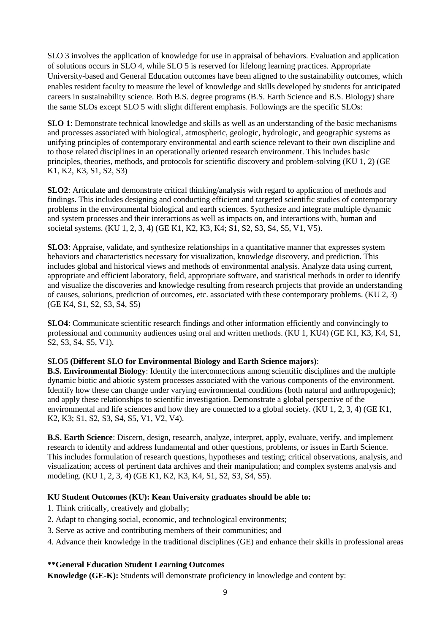SLO 3 involves the application of knowledge for use in appraisal of behaviors. Evaluation and application of solutions occurs in SLO 4, while SLO 5 is reserved for lifelong learning practices. Appropriate University-based and General Education outcomes have been aligned to the sustainability outcomes, which enables resident faculty to measure the level of knowledge and skills developed by students for anticipated careers in sustainability science. Both B.S. degree programs (B.S. Earth Science and B.S. Biology) share the same SLOs except SLO 5 with slight different emphasis. Followings are the specific SLOs:

**SLO 1**: Demonstrate technical knowledge and skills as well as an understanding of the basic mechanisms and processes associated with biological, atmospheric, geologic, hydrologic, and geographic systems as unifying principles of contemporary environmental and earth science relevant to their own discipline and to those related disciplines in an operationally oriented research environment. This includes basic principles, theories, methods, and protocols for scientific discovery and problem-solving (KU 1, 2) (GE K1, K2, K3, S1, S2, S3)

**SLO2**: Articulate and demonstrate critical thinking/analysis with regard to application of methods and findings. This includes designing and conducting efficient and targeted scientific studies of contemporary problems in the environmental biological and earth sciences. Synthesize and integrate multiple dynamic and system processes and their interactions as well as impacts on, and interactions with, human and societal systems. (KU 1, 2, 3, 4) (GE K1, K2, K3, K4; S1, S2, S3, S4, S5, V1, V5).

**SLO3**: Appraise, validate, and synthesize relationships in a quantitative manner that expresses system behaviors and characteristics necessary for visualization, knowledge discovery, and prediction. This includes global and historical views and methods of environmental analysis. Analyze data using current, appropriate and efficient laboratory, field, appropriate software, and statistical methods in order to identify and visualize the discoveries and knowledge resulting from research projects that provide an understanding of causes, solutions, prediction of outcomes, etc. associated with these contemporary problems. (KU 2, 3) (GE K4, S1, S2, S3, S4, S5)

**SLO4**: Communicate scientific research findings and other information efficiently and convincingly to professional and community audiences using oral and written methods. (KU 1, KU4) (GE K1, K3, K4, S1, S2, S3, S4, S5, V1).

#### **SLO5 (Different SLO for Environmental Biology and Earth Science majors)**:

**B.S. Environmental Biology**: Identify the interconnections among scientific disciplines and the multiple dynamic biotic and abiotic system processes associated with the various components of the environment. Identify how these can change under varying environmental conditions (both natural and anthropogenic); and apply these relationships to scientific investigation. Demonstrate a global perspective of the environmental and life sciences and how they are connected to a global society. (KU 1, 2, 3, 4) (GE K1, K2, K3; S1, S2, S3, S4, S5, V1, V2, V4).

**B.S. Earth Science**: Discern, design, research, analyze, interpret, apply, evaluate, verify, and implement research to identify and address fundamental and other questions, problems, or issues in Earth Science. This includes formulation of research questions, hypotheses and testing; critical observations, analysis, and visualization; access of pertinent data archives and their manipulation; and complex systems analysis and modeling. (KU 1, 2, 3, 4) (GE K1, K2, K3, K4, S1, S2, S3, S4, S5).

#### **KU Student Outcomes (KU): Kean University graduates should be able to:**

- 1. Think critically, creatively and globally;
- 2. Adapt to changing social, economic, and technological environments;
- 3. Serve as active and contributing members of their communities; and
- 4. Advance their knowledge in the traditional disciplines (GE) and enhance their skills in professional areas

#### **\*\*General Education Student Learning Outcomes**

**Knowledge (GE-K):** Students will demonstrate proficiency in knowledge and content by: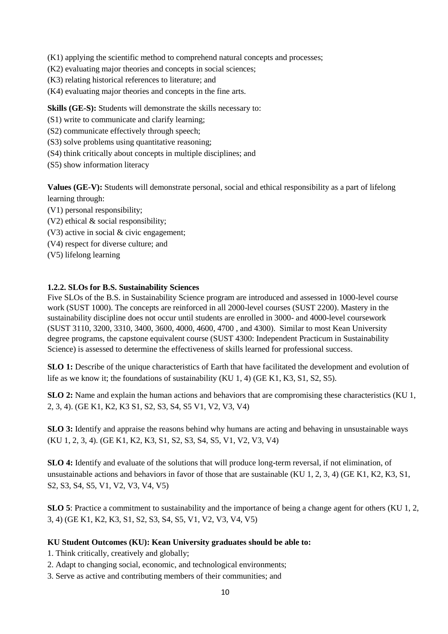(K1) applying the scientific method to comprehend natural concepts and processes;

- (K2) evaluating major theories and concepts in social sciences;
- (K3) relating historical references to literature; and
- (K4) evaluating major theories and concepts in the fine arts.

**Skills (GE-S):** Students will demonstrate the skills necessary to:

- (S1) write to communicate and clarify learning;
- (S2) communicate effectively through speech;
- (S3) solve problems using quantitative reasoning;
- (S4) think critically about concepts in multiple disciplines; and
- (S5) show information literacy

**Values (GE-V):** Students will demonstrate personal, social and ethical responsibility as a part of lifelong learning through:

- (V1) personal responsibility;
- (V2) ethical & social responsibility;
- (V3) active in social & civic engagement;
- (V4) respect for diverse culture; and
- (V5) lifelong learning

#### **1.2.2. SLOs for B.S. Sustainability Sciences**

Five SLOs of the B.S. in Sustainability Science program are introduced and assessed in 1000-level course work (SUST 1000). The concepts are reinforced in all 2000-level courses (SUST 2200). Mastery in the sustainability discipline does not occur until students are enrolled in 3000- and 4000-level coursework (SUST 3110, 3200, 3310, 3400, 3600, 4000, 4600, 4700 , and 4300). Similar to most Kean University degree programs, the capstone equivalent course (SUST 4300: Independent Practicum in Sustainability Science) is assessed to determine the effectiveness of skills learned for professional success.

**SLO 1:** Describe of the unique characteristics of Earth that have facilitated the development and evolution of life as we know it; the foundations of sustainability (KU 1, 4) (GE K1, K3, S1, S2, S5).

**SLO 2:** Name and explain the human actions and behaviors that are compromising these characteristics (KU 1, 2, 3, 4). (GE K1, K2, K3 S1, S2, S3, S4, S5 V1, V2, V3, V4)

**SLO 3:** Identify and appraise the reasons behind why humans are acting and behaving in unsustainable ways (KU 1, 2, 3, 4). (GE K1, K2, K3, S1, S2, S3, S4, S5, V1, V2, V3, V4)

**SLO 4:** Identify and evaluate of the solutions that will produce long-term reversal, if not elimination, of unsustainable actions and behaviors in favor of those that are sustainable (KU 1, 2, 3, 4) (GE K1, K2, K3, S1, S2, S3, S4, S5, V1, V2, V3, V4, V5)

**SLO 5**: Practice a commitment to sustainability and the importance of being a change agent for others (KU 1, 2, 3, 4) (GE K1, K2, K3, S1, S2, S3, S4, S5, V1, V2, V3, V4, V5)

#### **KU Student Outcomes (KU): Kean University graduates should be able to:**

1. Think critically, creatively and globally;

- 2. Adapt to changing social, economic, and technological environments;
- 3. Serve as active and contributing members of their communities; and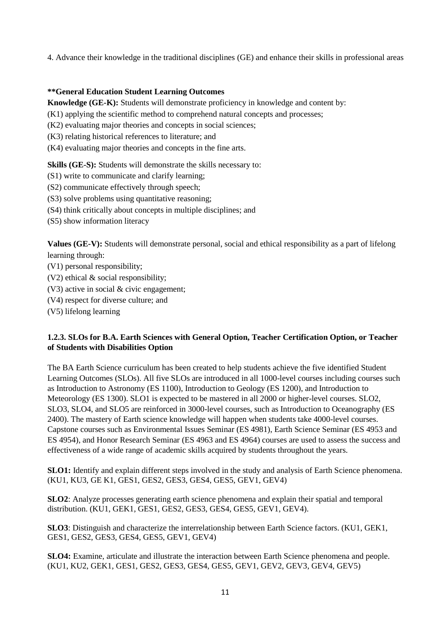4. Advance their knowledge in the traditional disciplines (GE) and enhance their skills in professional areas

#### **\*\*General Education Student Learning Outcomes**

**Knowledge (GE-K):** Students will demonstrate proficiency in knowledge and content by:

(K1) applying the scientific method to comprehend natural concepts and processes;

- (K2) evaluating major theories and concepts in social sciences;
- (K3) relating historical references to literature; and
- (K4) evaluating major theories and concepts in the fine arts.

**Skills (GE-S):** Students will demonstrate the skills necessary to:

- (S1) write to communicate and clarify learning;
- (S2) communicate effectively through speech;
- (S3) solve problems using quantitative reasoning;
- (S4) think critically about concepts in multiple disciplines; and
- (S5) show information literacy

**Values (GE-V):** Students will demonstrate personal, social and ethical responsibility as a part of lifelong learning through:

- (V1) personal responsibility;
- (V2) ethical & social responsibility;
- (V3) active in social & civic engagement;
- (V4) respect for diverse culture; and
- (V5) lifelong learning

#### **1.2.3. SLOs for B.A. Earth Sciences with General Option, Teacher Certification Option, or Teacher of Students with Disabilities Option**

The BA Earth Science curriculum has been created to help students achieve the five identified Student Learning Outcomes (SLOs). All five SLOs are introduced in all 1000-level courses including courses such as Introduction to Astronomy (ES 1100), Introduction to Geology (ES 1200), and Introduction to Meteorology (ES 1300). SLO1 is expected to be mastered in all 2000 or higher-level courses. SLO2, SLO3, SLO4, and SLO5 are reinforced in 3000-level courses, such as Introduction to Oceanography (ES 2400). The mastery of Earth science knowledge will happen when students take 4000-level courses. Capstone courses such as Environmental Issues Seminar (ES 4981), Earth Science Seminar (ES 4953 and ES 4954), and Honor Research Seminar (ES 4963 and ES 4964) courses are used to assess the success and effectiveness of a wide range of academic skills acquired by students throughout the years.

**SLO1:** Identify and explain different steps involved in the study and analysis of Earth Science phenomena. (KU1, KU3, GE K1, GES1, GES2, GES3, GES4, GES5, GEV1, GEV4)

**SLO2**: Analyze processes generating earth science phenomena and explain their spatial and temporal distribution. (KU1, GEK1, GES1, GES2, GES3, GES4, GES5, GEV1, GEV4).

**SLO3**: Distinguish and characterize the interrelationship between Earth Science factors. (KU1, GEK1, GES1, GES2, GES3, GES4, GES5, GEV1, GEV4)

**SLO4:** Examine, articulate and illustrate the interaction between Earth Science phenomena and people. (KU1, KU2, GEK1, GES1, GES2, GES3, GES4, GES5, GEV1, GEV2, GEV3, GEV4, GEV5)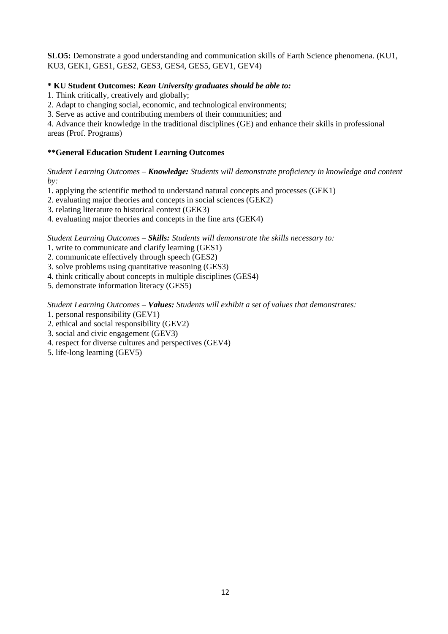**SLO5:** Demonstrate a good understanding and communication skills of Earth Science phenomena. (KU1, KU3, GEK1, GES1, GES2, GES3, GES4, GES5, GEV1, GEV4)

#### **\* KU Student Outcomes:** *Kean University graduates should be able to:*

1. Think critically, creatively and globally;

2. Adapt to changing social, economic, and technological environments;

3. Serve as active and contributing members of their communities; and

4. Advance their knowledge in the traditional disciplines (GE) and enhance their skills in professional areas (Prof. Programs)

#### **\*\*General Education Student Learning Outcomes**

*Student Learning Outcomes – Knowledge: Students will demonstrate proficiency in knowledge and content by:* 

1. applying the scientific method to understand natural concepts and processes (GEK1)

2. evaluating major theories and concepts in social sciences (GEK2)

3. relating literature to historical context (GEK3)

4. evaluating major theories and concepts in the fine arts (GEK4)

*Student Learning Outcomes – Skills: Students will demonstrate the skills necessary to:* 

1. write to communicate and clarify learning (GES1)

2. communicate effectively through speech (GES2)

3. solve problems using quantitative reasoning (GES3)

4. think critically about concepts in multiple disciplines (GES4)

5. demonstrate information literacy (GES5)

*Student Learning Outcomes – Values: Students will exhibit a set of values that demonstrates:* 

1. personal responsibility (GEV1)

2. ethical and social responsibility (GEV2)

3. social and civic engagement (GEV3)

4. respect for diverse cultures and perspectives (GEV4)

5. life-long learning (GEV5)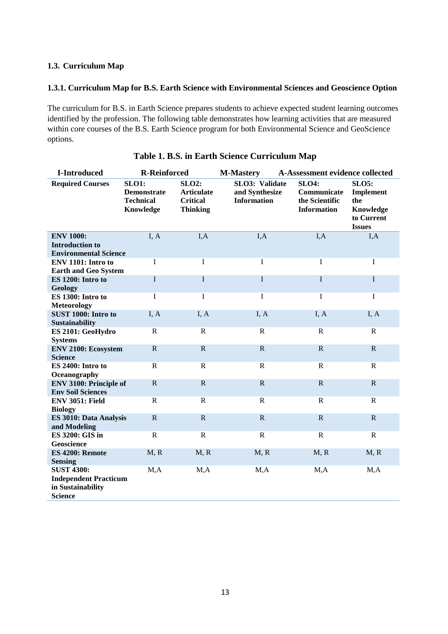#### **1.3. Curriculum Map**

#### **1.3.1. Curriculum Map for B.S. Earth Science with Environmental Sciences and Geoscience Option**

The curriculum for B.S. in Earth Science prepares students to achieve expected student learning outcomes identified by the profession. The following table demonstrates how learning activities that are measured within core courses of the B.S. Earth Science program for both Environmental Science and GeoScience options.

| <b>I-Introduced</b>                                                                      | <b>R-Reinforced</b>                                                 |                                                                         | <b>M-Mastery</b>                                       | A-Assessment evidence collected                                     |                                                                                     |
|------------------------------------------------------------------------------------------|---------------------------------------------------------------------|-------------------------------------------------------------------------|--------------------------------------------------------|---------------------------------------------------------------------|-------------------------------------------------------------------------------------|
| <b>Required Courses</b>                                                                  | <b>SLO1:</b><br><b>Demonstrate</b><br><b>Technical</b><br>Knowledge | <b>SLO2:</b><br><b>Articulate</b><br><b>Critical</b><br><b>Thinking</b> | SLO3: Validate<br>and Synthesize<br><b>Information</b> | <b>SLO4:</b><br>Communicate<br>the Scientific<br><b>Information</b> | <b>SLO5:</b><br><b>Implement</b><br>the<br>Knowledge<br>to Current<br><b>Issues</b> |
| <b>ENV 1000:</b><br><b>Introduction to</b>                                               | I, A                                                                | I, A                                                                    | I, A                                                   | I, A                                                                | I, A                                                                                |
| <b>Environmental Science</b>                                                             |                                                                     |                                                                         |                                                        |                                                                     |                                                                                     |
| ENV 1101: Intro to<br><b>Earth and Geo System</b>                                        | $\mathbf I$                                                         | I                                                                       | $\mathbf I$                                            | I                                                                   | $\mathbf I$                                                                         |
| ES 1200: Intro to<br>Geology                                                             | $\mathbf I$                                                         | $\mathbf I$                                                             | $\mathbf I$                                            | $\mathbf I$                                                         | $\mathbf I$                                                                         |
| ES 1300: Intro to<br><b>Meteorology</b>                                                  | $\mathbf I$                                                         | I                                                                       | $\mathbf I$                                            | I                                                                   | $\mathbf I$                                                                         |
| SUST 1000: Intro to<br><b>Sustainability</b>                                             | I, A                                                                | I, A                                                                    | I, A                                                   | I, A                                                                | I, A                                                                                |
| ES 2101: GeoHydro<br><b>Systems</b>                                                      | ${\bf R}$                                                           | $\mathbb{R}$                                                            | $\mathbf R$                                            | $\mathbf R$                                                         | $\mathbf R$                                                                         |
| <b>ENV 2100: Ecosystem</b><br><b>Science</b>                                             | $\mathbf R$                                                         | $\mathbf R$                                                             | ${\bf R}$                                              | $\mathbf R$                                                         | $\mathbf R$                                                                         |
| ES 2400: Intro to<br>Oceanography                                                        | $\mathbf R$                                                         | $\mathbf R$                                                             | $\mathbf R$                                            | $\mathbf R$                                                         | $\mathbf R$                                                                         |
| <b>ENV 3100: Principle of</b><br><b>Env Soil Sciences</b>                                | $\mathbf R$                                                         | $\mathbb{R}$                                                            | $\mathbf R$                                            | $\mathbb{R}$                                                        | $\mathbf{R}$                                                                        |
| <b>ENV 3051: Field</b><br><b>Biology</b>                                                 | $\mathbb{R}$                                                        | $\mathbf R$                                                             | $\mathbf R$                                            | $\mathbb{R}$                                                        | $\mathbf{R}$                                                                        |
| ES 3010: Data Analysis<br>and Modeling                                                   | $\mathbf R$                                                         | $\mathbb{R}$                                                            | $\mathbf R$                                            | $\mathbf R$                                                         | $\mathbf{R}$                                                                        |
| ES 3200: GIS in<br>Geoscience                                                            | $\mathbf R$                                                         | $\mathbf R$                                                             | $\mathbf R$                                            | $\mathbf R$                                                         | $\mathbf R$                                                                         |
| ES 4200: Remote<br><b>Sensing</b>                                                        | M, R                                                                | M, R                                                                    | M, R                                                   | M, R                                                                | M, R                                                                                |
| <b>SUST 4300:</b><br><b>Independent Practicum</b><br>in Sustainability<br><b>Science</b> | M, A                                                                | M, A                                                                    | M, A                                                   | M, A                                                                | M, A                                                                                |

## **Table 1. B.S. in Earth Science Curriculum Map**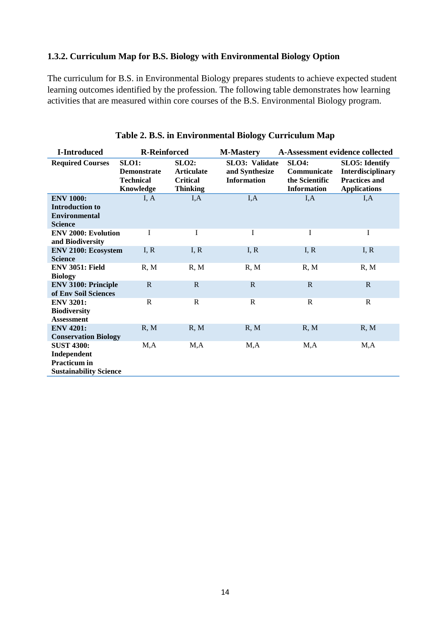## **1.3.2. Curriculum Map for B.S. Biology with Environmental Biology Option**

The curriculum for B.S. in Environmental Biology prepares students to achieve expected student learning outcomes identified by the profession. The following table demonstrates how learning activities that are measured within core courses of the B.S. Environmental Biology program.

| <b>I-Introduced</b>                                                                      | <b>R-Reinforced</b>                                                 |                                                                     | <b>M-Mastery</b>                                               | A-Assessment evidence collected                                     |                                                                                                   |  |
|------------------------------------------------------------------------------------------|---------------------------------------------------------------------|---------------------------------------------------------------------|----------------------------------------------------------------|---------------------------------------------------------------------|---------------------------------------------------------------------------------------------------|--|
| <b>Required Courses</b>                                                                  | <b>SLO1:</b><br><b>Demonstrate</b><br><b>Technical</b><br>Knowledge | $SLO2$ :<br><b>Articulate</b><br><b>Critical</b><br><b>Thinking</b> | <b>SLO3</b> : Validate<br>and Synthesize<br><b>Information</b> | <b>SLO4:</b><br>Communicate<br>the Scientific<br><b>Information</b> | <b>SLO5</b> : Identify<br><b>Interdisciplinary</b><br><b>Practices and</b><br><b>Applications</b> |  |
| <b>ENV 1000:</b><br><b>Introduction to</b><br><b>Environmental</b><br><b>Science</b>     | I, A                                                                | I, A                                                                | I, A                                                           | I, A                                                                | I, A                                                                                              |  |
| <b>ENV 2000: Evolution</b><br>and Biodiversity                                           | I                                                                   | I                                                                   | I                                                              | I                                                                   | $\bf{I}$                                                                                          |  |
| <b>ENV 2100: Ecosystem</b><br><b>Science</b>                                             | I, R                                                                | I, R                                                                | I, R                                                           | I, R                                                                | I, R                                                                                              |  |
| <b>ENV 3051: Field</b><br><b>Biology</b>                                                 | R, M                                                                | R, M                                                                | R, M                                                           | R, M                                                                | R, M                                                                                              |  |
| <b>ENV 3100: Principle</b><br>of Env Soil Sciences                                       | $\mathbf R$                                                         | $\mathbb{R}$                                                        | $\mathbb{R}$                                                   | $\mathbb{R}$                                                        | $\mathbb{R}$                                                                                      |  |
| <b>ENV 3201:</b><br><b>Biodiversity</b><br><b>Assessment</b>                             | $\mathbf R$                                                         | $\mathbf R$                                                         | $\mathbf{R}$                                                   | $\mathbf R$                                                         | $\mathbf R$                                                                                       |  |
| <b>ENV 4201:</b><br><b>Conservation Biology</b>                                          | R, M                                                                | R, M                                                                | R, M                                                           | R, M                                                                | R, M                                                                                              |  |
| <b>SUST 4300:</b><br>Independent<br><b>Practicum</b> in<br><b>Sustainability Science</b> | M, A                                                                | M, A                                                                | M, A                                                           | M,A                                                                 | M, A                                                                                              |  |

## **Table 2. B.S. in Environmental Biology Curriculum Map**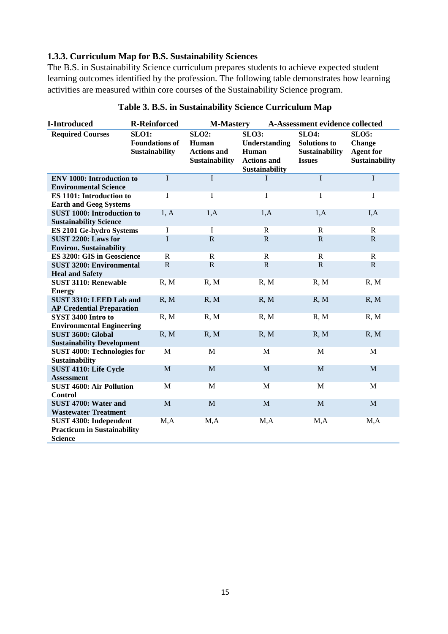## **1.3.3. Curriculum Map for B.S. Sustainability Sciences**

The B.S. in Sustainability Science curriculum prepares students to achieve expected student learning outcomes identified by the profession. The following table demonstrates how learning activities are measured within core courses of the Sustainability Science program.

| <b>I-Introduced</b>                                                 | <b>R-Reinforced</b>                                     | <b>M-Mastery</b>                                                     |                                                                                       | A-Assessment evidence collected                                               |                                                                            |
|---------------------------------------------------------------------|---------------------------------------------------------|----------------------------------------------------------------------|---------------------------------------------------------------------------------------|-------------------------------------------------------------------------------|----------------------------------------------------------------------------|
| <b>Required Courses</b>                                             | <b>SLO1:</b><br><b>Foundations of</b><br>Sustainability | <b>SLO2:</b><br>Human<br><b>Actions and</b><br><b>Sustainability</b> | <b>SLO3:</b><br>Understanding<br>Human<br><b>Actions and</b><br><b>Sustainability</b> | <b>SLO4:</b><br><b>Solutions to</b><br><b>Sustainability</b><br><b>Issues</b> | <b>SLO5:</b><br><b>Change</b><br><b>Agent for</b><br><b>Sustainability</b> |
| <b>ENV 1000: Introduction to</b><br><b>Environmental Science</b>    | $\mathbf I$                                             | $\overline{I}$                                                       | I                                                                                     | $\mathbf I$                                                                   | $\overline{I}$                                                             |
| <b>ES 1101: Introduction to</b><br><b>Earth and Geog Systems</b>    | I                                                       | I                                                                    | $\bf I$                                                                               | I                                                                             | $\mathbf I$                                                                |
| <b>SUST 1000: Introduction to</b><br><b>Sustainability Science</b>  | 1, A                                                    | 1,A                                                                  | 1,A                                                                                   | 1,A                                                                           | I, A                                                                       |
| ES 2101 Ge-hydro Systems                                            | I                                                       | $\mathbf I$                                                          | $\mathbf R$                                                                           | ${\bf R}$                                                                     | $\mathbf R$                                                                |
| SUST 2200: Laws for<br><b>Environ.</b> Sustainability               | I                                                       | $\mathbf R$                                                          | $\mathbf R$                                                                           | $\mathbf R$                                                                   | $\mathbf R$                                                                |
| ES 3200: GIS in Geoscience                                          | $\mathbf R$                                             | $\mathbf R$                                                          | $\mathbb{R}$                                                                          | ${\bf R}$                                                                     | $\mathbf R$                                                                |
| <b>SUST 3200: Environmental</b><br><b>Heal and Safety</b>           | $\mathbf R$                                             | ${\bf R}$                                                            | ${\bf R}$                                                                             | ${\bf R}$                                                                     | $\mathbf R$                                                                |
| <b>SUST 3110: Renewable</b><br><b>Energy</b>                        | R, M                                                    | R, M                                                                 | R, M                                                                                  | R, M                                                                          | R, M                                                                       |
| SUST 3310: LEED Lab and<br><b>AP Credential Preparation</b>         | R, M                                                    | R, M                                                                 | R, M                                                                                  | R, M                                                                          | R, M                                                                       |
| SYST 3400 Intro to<br><b>Environmental Engineering</b>              | R, M                                                    | R, M                                                                 | R, M                                                                                  | R, M                                                                          | R, M                                                                       |
| SUST 3600: Global<br><b>Sustainability Development</b>              | R, M                                                    | R, M                                                                 | R, M                                                                                  | R, M                                                                          | R, M                                                                       |
| <b>SUST 4000: Technologies for</b><br><b>Sustainability</b>         | $\mathbf{M}$                                            | M                                                                    | M                                                                                     | M                                                                             | $\mathbf{M}$                                                               |
| SUST 4110: Life Cycle<br><b>Assessment</b>                          | M                                                       | M                                                                    | $\mathbf M$                                                                           | M                                                                             | $\mathbf M$                                                                |
| <b>SUST 4600: Air Pollution</b><br><b>Control</b>                   | M                                                       | M                                                                    | $\mathbf M$                                                                           | $\mathbf M$                                                                   | M                                                                          |
| SUST 4700: Water and<br><b>Wastewater Treatment</b>                 | $\mathbf M$                                             | $\mathbf{M}$                                                         | M                                                                                     | M                                                                             | $\mathbf M$                                                                |
| <b>SUST 4300: Independent</b><br><b>Practicum in Sustainability</b> | M, A                                                    | M, A                                                                 | M, A                                                                                  | M, A                                                                          | M, A                                                                       |
| <b>Science</b>                                                      |                                                         |                                                                      |                                                                                       |                                                                               |                                                                            |

## **Table 3. B.S. in Sustainability Science Curriculum Map**